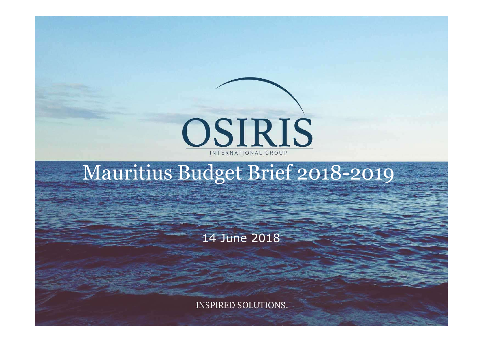

# Mauritius Budget Brief 2018-2019

INSPIRED SOLUTIONS.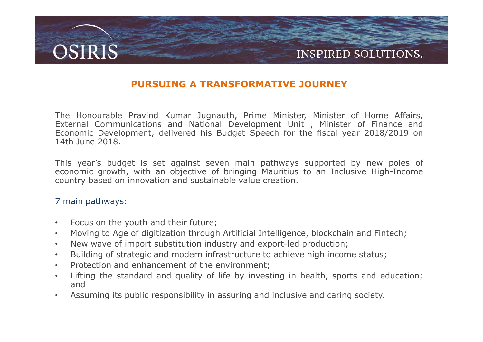# The Honourable Pravind Kumar Jugnauth, Prime Minister, Minister of Home Affairs,<br>The Honourable Pravind Kumar Jugnauth, Prime Minister, Minister of Home Affairs,<br>Economic Development, delivered his Budget Speech for the fi External Communications and National Development Unit , Minister of Home Affairs, External Communications and National Development Unit , Minister of Finance and Economic Development, delivered his Budget Speech for the fi ECONOMIC MANAGEM INSPIRED SOLUTIONS.<br>
FORMALLY MANAGEMENT DURNEY<br>
The Honourable Pravid Kumar Jugnauth, Prime Minister, Minister of Home Affairs,<br>
External Communications and National Development Unit , Minister of Finance **SSIRTS**<br> **PURSUING A TRANSFORMATIV**<br>
The Honourable Pravind Kumar Jugnauth, Prime Min<br>
External Communications and National Development<br>
Economic Development, delivered his Budget Speech f<br>
This year's budget is set again **STRIS EXECTS INSPIRED SOLUTIONS.**<br>The Honourable Pravind Kumar Jugnauth, Prime Minister, Minister of Home Affairs,<br>External Communications and National Development Unit , Minister of Home Affairs,<br>External Communications **Example 18 A TRANSFORMATIVE JOURNEY**<br> **Example Pravind Kumar Jugnauth, Prime Minister, Minister of Home Affairs,**<br>
External Communications and National Development Unit, Minister of Finnece and<br>
Economic Development, deli **CONTRIS EXECUTE IN THE MORE AND AREA CONTRIGUATE IN THE MORE CONTRIGUATE ON INSPIRED SOLUTIONS.**<br>The Honourable Pravind Kumar Jugnauth, Prime Minister, Minister of Home Affairs, External Communications and National Develo

# PURSUING A TRANSFORMATIVE JOURNEY

**PURSUING A TRANSFORMAT**<br> **PURSUING A TRANSFORMAT**<br>
External Communications and National Developme<br>
Economic Development, delivered his Budget Speed<br>
14th June 2018.<br>
This year's budget is set against seven main pat<br>
econo **PURSUING A TRANSFORMATIVE JOURNEY**<br>
The Honourable Pravind Kumar Jugnauth, Prime Minister, Minister of Hotel<br>
External Communications and National Development Unit, Minister of Fi<br>
Economic Development, delivered his Budg **• PURSUING A TRANSFORMATIVE JOURNEY**<br>
• External Communications and National Development Unit , Minister of Home Affairs,<br>
External Communications and National Development Unit , Minister of Finance and<br>
• Economic Develo The Honourable Pravind Kumar Jugnauth, Prime Minister, Minister of Home Affairs,<br>Economic Dommunications and National Development Unit , Minister of Finance and<br>Economic Development, delivered his Budget Speech for the fis The Honourable Pravind Kumar Jugnauth, Prime Minister, Minister of Home Affairs,<br>External Communications and National Development Unit, Minister of Finance and<br>Economic Development, delivered his Budget Speech for the fisc The Honourable Pravind Kumar Jugnauth, Prime Minister, Minister of Home Affexternal Communications and National Development Unit , Minister of Finance<br>Economic Development, delivered his Budget Speech for the fiscal year 2

External Communications and wational Development Unit, Minister of Pinance and<br>Economic Development, delivered his Budget Speech for the fiscal year 2018/2019 on<br>14th June 2018.<br>This year's budget is set against seven main Finis year's budget is set against seven main pathways supported by new poles of<br>economic growth, with an objective of bringing Mauritius to an Inclusive High-Income<br>country based on innovation and sustainable value creati

- 
- 
- 
- 
- 
- and
-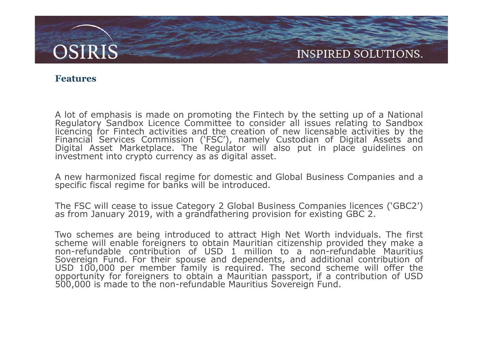# Features

A lot of emphasis is made on promoting the Fintech by the setting up of a National Regulatory Sandbox Licence Committee to consider all issues relating to Sandbox licencing for Fintech activities and the creation of new licensable activities by the Financial Services Commission ('FSC'), namely the Services Commission ('FSC'), namely Commission ('FSC'), namely Custodian of Digital Assets and Digital Asset Marketplace. The Regulator will also put in place guidelines on **SSIRIS**<br>**INSPIRED SOLUTIONS.**<br>Reatures<br>A lot of emphasis is made on promoting the Fintech by the setting up of a National<br>Regulatory Sandbox Licence Committee to consider all issues relating to Sandbox<br>Ilicencing for Fint **STRIS**<br> **Example 18 A lot of emphasis is made on promoting the Fintech by the setting up of a National Regulatory Sandbox Licence Committee to consider all issues relating to Sandbox licencing for Fintech activities and t** Sample 1991<br>
Samples of the setting up of a Natio<br>
Regulatory Sandbox Licence Committee to consider all issues relating to Sand<br>
Regulatory Sandbox Licence Committee to consider all issues relating to Sand<br>
Regulatory Sand The Formation of the Finder of the Finder of the setting up of a National Regulatory Sandbox Licence Committee to consider all issues relating to Sandbox licences (increase to investment of new licences Financial Services

A lot of emphasis is made on promoting the Fintech by the setting up of a National<br>Regulatory Sandbox Licence Committee to consider all issues relating to Sandbox<br>licencing for Fintech activities and the creation of new li A lot of emphasis is made on promoting the Fintech by the setting up of a National<br>Regulatory Sandbox Licence Committee to consider all issues relating to Sandbox<br>Ricencing for Fintech activities and the creation of new li ncentury for interest and the treated to attend the momentum of Digital Assets and Digital Assets commission ('FSC'), namely Custodian of Digital Assets and Digital Assets and Digital Assets commission ('FSC'), namely Cust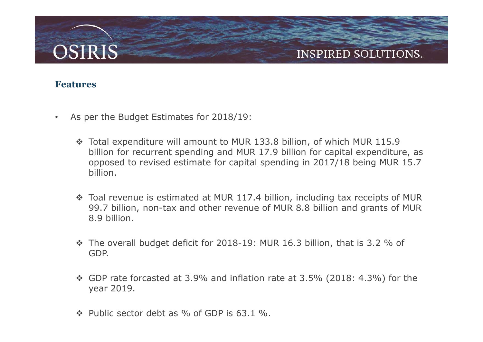# Features

- As per the Budget Estimates for 2018/19:
- Total expenditure will amount to MUR 133.8 billion, of which MUR 115.9 billion for recurrent spending and MUR 17.9 billion for capital expenditure, as **Source the Budget Estimates for 2018/19:**<br>
Total expenditure will amount to MUR 133.8 billion, of which MUR 115.9<br>
billion for recurrent spending and MUR 17.9 billion for capital expenditure, as<br>
opposed to revised estima billion. INSPIRED SOLUTIONS.<br>
Sures<br>
Seperthe Budget Estimates for 2018/19:<br>
Total expenditure will amount to MUR 133.8 billion, of which MUR 115.9<br>
billion for recurrent spending and MUR 17.9 billion for capital expenditure, as<br>
o Gotal expenditure will amount to MUR 133.8 billion, of which MUR 115.9<br>billion for recurrent spending and MUR 17.9 billion for capital expenditure, as<br>opposed to revised estimate for capital spending in 2017/18 being MUR
	- 99.7 billion, non-tax and other revenue of MUR 8.8 billion and grants of MUR 8.9 billion.
	- The overall budget deficit for 2018-19: MUR 16.3 billion, that is 3.2 % of GDP.
	- year 2019.
	- $\cdot$  Public sector debt as % of GDP is 63.1 %.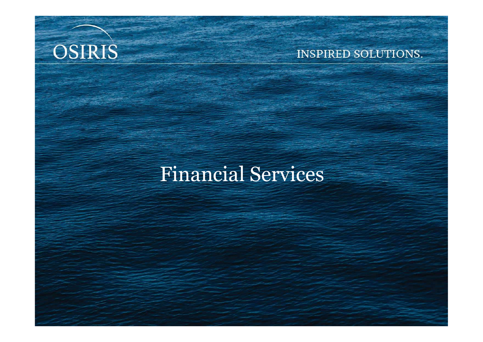# OSIRIS

# INSPIRED SOLUTIONS.

# Financial Services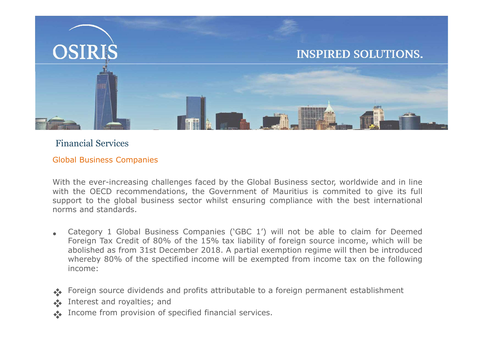

# Financial Services

- ancial Services<br>and Business Companies<br>all Business Companies<br>the OECD recommendations, the Government of Mauritius is commited to give its full<br>ont to the global business sector whilst ensuring compliance with the best in ancial Services<br>al Business Companies<br>the ever-increasing challenges faced by the Global Business sector, worldwide and in line<br>the OECD recommendations, the Government of Mauritius is commited to give its full<br>poort to th income: Financial Services<br>
Global Business Companies<br>
With the ever-increasing challenges faced by the Global Business sector, worldwide and in line<br>
with the OECD recommendations, the Government of Mauritius is commited to give Global Business Companies<br>
With the ever-increasing challenges faced by the Global Business sector, with the OECD recommendations, the Government of Mauritius is comm<br>
support to the global business sector whilst ensuring **INCOME DUSTRESS COMPAINES**<br>
With the ever-increasing challenges faced by the Global Business sector, worldwide and in line<br>
with the OECD recommendations, the Government of Mauritius is commited to give its full<br>
support
- 
- 
-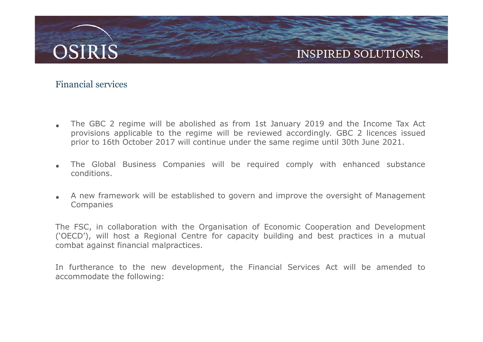# Financial services

- Financial services<br>• The GBC 2 regime will be abolished as from 1st January 2019 and the Income Tax Act<br>• provisions applicable to the regime will be reviewed accordingly. GBC 2 licences issued<br>• prior to 16th October 2017 FRIS INSPIRED SOLUTIONS.<br>The GBC 2 regime will be abolished as from 1st January 2019 and the Income Tax Act<br>provisions applicable to the regime will be reviewed accordingly. GBC 2 licences issued<br>prior to 16th October 2017 **STRIS**<br>The GBC 2 regime will be abolished as from 1st January 2019 and the Income Tax Act<br>prior to 16th October 2017 will continue under the same regime until 30th June 2021.<br>The Global Business Companies will be required • The GBC 2 regime will be abolished as from 1st January 2019 and the Income Tax Act<br>
• The GBC 2 regime will be abolished as from 1st January 2019 and the Income Tax Act<br>
• provisions applicable to the regime will be revi • The GBC 2 regime will be abolished as from 1st January 2019 and the Income Tax Act<br>provisions applicable to the regime will be reviewed accordingly. GBC 2 licences issued<br>prior to 16th October 2017 will continue under th Financial services<br>
• The GBC 2 regime will be abolished as from 1st January 2019 and the Income Tax Act<br>
provisions applicabe to the regime will be reviewed accordingly. GBC 2 licences issued<br>
prior to 16th October 2017 w Financial services<br>
• The GBC 2 regime will be abolished as from 1st January 2019 and the Income Tax Act<br>
provisions applicable to the regime will be reviewed accordingly. GBC 2 licences issued<br>
pror to 16th October 2017 w The GBC 2 regime will be abolished as from 1st January 2019 and<br>provisions applicable to the regime will be reviewed accordingly. C<br>prior to 16th October 2017 will continue under the same regime until<br><br>**•** The Global Busin The GBC 2 regime will be abolished as from 1st January 2019 and the Income Tax Act<br>provisions applicable to the regime will be reviewed accordingly. GBC 2 licences issued<br>prior to 16th October 2017 will continue under the
- conditions.
- **Companies**

• The Global Business applicable to the regime will be reviewed accordination provisions applicable to the regime will be reviewed accordination of the Global Business Companies will be required comply conditions.<br>• The Gl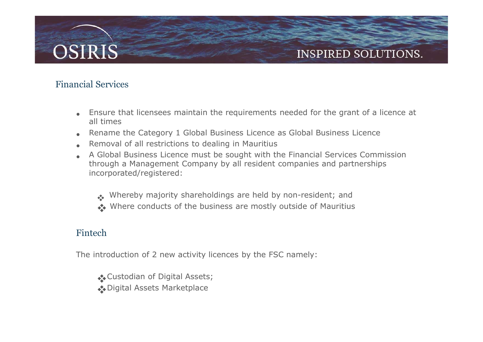# Financial Services

- Ensure that licensees maintain the requirements needed for the grant of a licence at<br>
 Ensure that licensees maintain the requirements needed for the grant of a licence at<br>
 Removal of all restrictions to dealing in Ma all times • Finsure that licensees maintain the requirements needed for the grant of a licence at all times<br>• Finsure that licensees maintain the requirements needed for the grant of a licence at all times<br>• Rename the Category 1 Gl
- 
- 
- Finsure that licensees maintain the requirements needed for the grant of a licence at all times<br>• Finsure that licensees maintain the requirements needed for the grant of a licence at all times<br>• Remame the Category 1 Gl • A Global Business Licence must be sought with the Financial Services Control of a licence at all times<br>• A Global Business Licence as Global Business Licence at all times<br>• Removal of all restrictions to dealing in Mauri **Example 18 Services**<br> **Ensure that licensees maintain the requirements needed for the grant of a licence at all times**<br> **Rename the Category 1 Global Business Licence as Global Business Licence at Renoval of all restricti** incorporated/registered: INSPIRED SOLUTIONS.<br>
Services<br>
Services<br>
Signerial licensees maintain the requirements needed for the grant of a licence at<br>
times<br>
Frame the Category 1 Global Business Licence as Global Business Licence<br>
Emoval of all res Services<br>
Services<br>
sure that licensees maintain the requirements needed for the grant of a licence at<br>
times<br>
ename the Category 1 Global Business Licence as Global Business Licence<br>
emoval of all restrictions to dealing Ensure that licensees maintain the requirements needed for the grant of a licence at<br>
• Rename the Category 1 Global Business Licence as Global Business Licence<br>
• Removal of all restrictions to dealing in Mauritius<br>
• A manyal of all restrictions to dealing in Mauritius<br>
Global Business Licence must be sought with the Financial Service<br>
rough a Management Company by all resident companies and particromorated/registered:<br>
•• Whereby majori
	-
	-

# Fintech

Custodian of Digital Assets;<br>Digital Assets Marketplace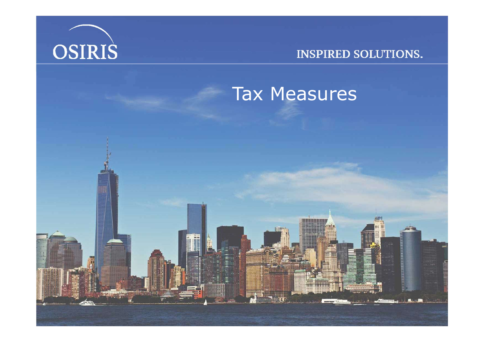

# **INSPIRED SOLUTIONS.**

# Tax Measures

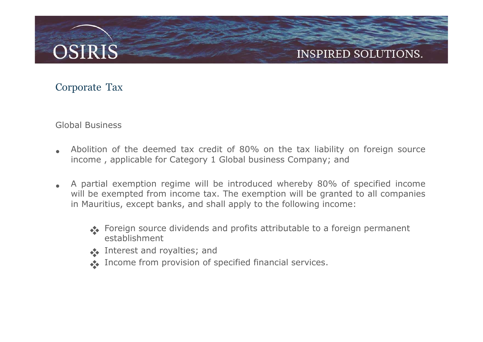# **SSIRIS**<br>
Corporate Tax<br>
Global Business

- SIRIS<br>Corporate Tax<br>Global Business<br>Abolition of the deemed tax credit of 80% on<br>income annlicable for Category 1 Global busines FRIS<br>
• Abolition of the deemed tax credit of 80% on the tax liability on foreign source<br>
• Abolition of the deemed tax credit of 80% on the tax liability on foreign source<br>
• A partial exemption regime will be introduced **income STRIS**<br>
interperse and Business<br>
Abolition of the deemed tax credit of 80% on the tax liability on foreign source<br>
Apartial exemption regime will be introduced whereby 80% of specified income<br>
Apartial exemption re
- FRIS<br>• Abolition of the deemed tax credit of 80% on the tax liability on foreign source<br>• A partial exemption regime will be introduced whereby 80% of specified income<br>• A partial exemption regime will be introduced whereb WERE SOLUTIONS.<br>
STRIS<br>
Sportage Tax<br>
Abolition of the deemed tax credit of 80% on the tax liability on foreign source<br>
income , applicable for Category 1 Global business Company; and<br>
A partial exemption regime will be in in Mauritius, and shall apply to the tax liability on foreign source<br>income, applicable for Category 1 Global business Company; and<br>A partial exemption regime will be introduced whereby 80% of specified income<br>will be exem
	- Foreign source dividends and profits attributable to a foreign permanent establishment
	- **A** Interest and royalties; and
	- Income from provision of specified financial services.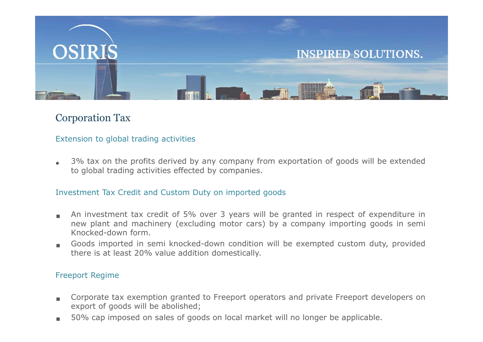

# Corporation Tax

- For the profits derived by any company from exportation<br>associates the profits derived by any company from exportatio<br>to global trading activities effected by companies.<br>Externent Tax Credit and Custom Duty on imported goo Gorporation Tax<br>
Extension to global trading activities<br>
• 3% tax on the profits derived by any company from exportation of goods will be extended<br>
to global trading activities effected by companies.<br>
Investment Tax Credit poration Tax<br>
ension to global trading activities<br>
3% tax on the profits derived by any company from exportation of goods will be ex<br>
to global trading activities effected by companies.<br>
Estment Tax Credit and Custom Duty Extension to global trading activities<br>
■ 3% tax on the profits derived by any company from<br>
to global trading activities effected by companies.<br>
Investment Tax Credit and Custom Duty on imported good<br>
■ An investment tax 9% tax on the profits derived by any company from exportation of goods will be extended<br>to global trading activities effected by companies.<br>Investment Tax Credit and Custom Duty on imported goods<br>**An investment tax credit** 3% tax on the profits derived by any company from exportation of gooto global trading activities effected by companies.<br>
Sestment Tax Credit and Custom Duty on imported goods<br>
An investment tax credit of 5% over 3 years wi 50% to global trading activities effected by companies.<br>
50% companies.<br>
50% company imported goods<br>
50% company importing goods in semi<br>
10% conced-down form.<br>
50% cap imported in semi knocked-down condition will be exem
- 

- 
-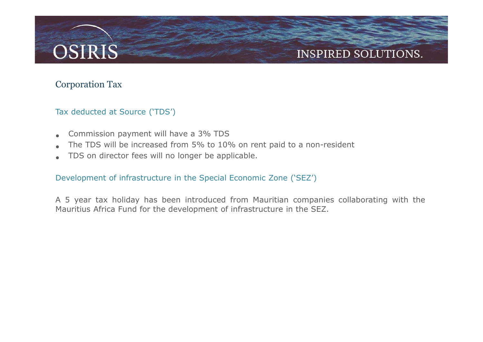# Corporation Tax

- 
- TRIS<br>
Tax deducted at Source ('TDS')<br>
Tax deducted at Source ('TDS')<br>
The TDS will be increased from 5% to 10% on rent paid to a non-resident FRIS<br>• Corporation Tax<br>• Tax deducted at Source ('TDS')<br>• Commission payment will have a 3% TDS<br>• The TDS will be increased from 5% to 10% on rent paid to a non-resident<br>• TDS on director fees will no longer be applicable. FRIS<br>
• The TDS will be increased from 5% to 10% on rent paid to a non-resident<br>
• The TDS will be increased from 5% to 10% on rent paid to a non-resident<br>
• TDS on director fees will no longer be applicable.<br>
• Developmen FRIS<br>• TO STRIS<br>• The TDS will be increased from 5% to 10% on rent paid to a non-resident<br>• TDS on director fees will no longer be applicable.<br>• Development of infrastructure in the Special Economic Zone ('SEZ')
- 

**SIRIS**<br>
INSPIRED SOLUTIONS.<br>
Tax deducted at Source ('TDS')<br>
• Commission payment will have a 3% TDS<br>
• The TDS will be increased from 5% to 10% on rent paid to a non-resident<br>
• TDS on director fees will no longer be app A 5 Year tax holiday has been introduced from Mauritian companies collaborating with the<br>May deducted at Source ('TDS')<br>The TDS will be increased from 5% to 10% on rent paid to a non-resident<br>TDS on director fees will no l Corporation Tax<br>
Tax deducted at Source ('TDS')<br>
• Commission payment will have a 3% TDS<br>
• The TDS will be increased from 5% to 10% on rent paid to a non-resident<br>
• TDS on director fees will no longer be applicable.<br>
Dev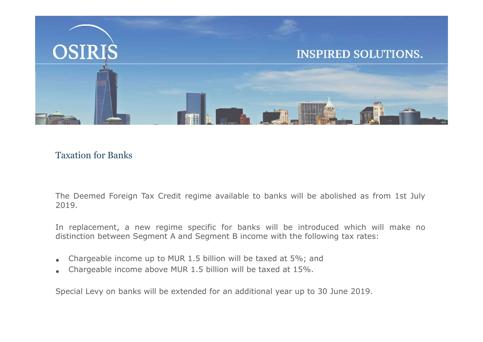

# Taxation for Banks

2019. Fraction for Banks<br>The Deemed Foreign Tax Credit regime available to banks will be abolished as from 1st July<br>2019.<br>In replacement, a new regime specific for banks will be introduced which will make no<br>distinction between Taxation for Banks<br>The Deemed Foreign Tax Credit regime available to banks will be abolished as from 1st July<br>2019.<br>In replacement, a new regime specific for banks will be introduced which will make no<br>distinction between

- 
-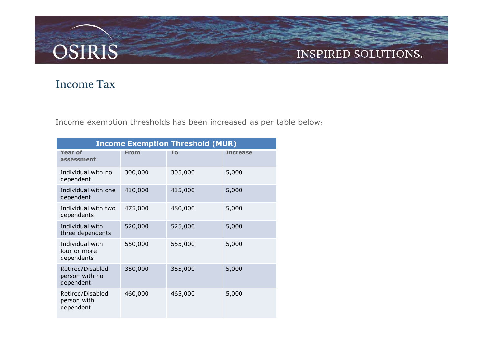# Income Tax

| OSIRIS                                                                                                                                    |             |                                         |                                                                    | <b>INSPIRED SOLUTIONS.</b> |
|-------------------------------------------------------------------------------------------------------------------------------------------|-------------|-----------------------------------------|--------------------------------------------------------------------|----------------------------|
| <b>Income Tax</b>                                                                                                                         |             |                                         |                                                                    |                            |
|                                                                                                                                           |             |                                         |                                                                    |                            |
|                                                                                                                                           |             |                                         | Income exemption thresholds has been increased as per table below: |                            |
|                                                                                                                                           |             | <b>Income Exemption Threshold (MUR)</b> |                                                                    |                            |
| <b>Year of</b>                                                                                                                            | <b>From</b> | To                                      | <b>Increase</b>                                                    |                            |
|                                                                                                                                           |             |                                         |                                                                    |                            |
|                                                                                                                                           | 300,000     | 305,000                                 | 5,000                                                              |                            |
|                                                                                                                                           | 410,000     | 415,000                                 | 5,000                                                              |                            |
|                                                                                                                                           | 475,000     | 480,000                                 | 5,000                                                              |                            |
| assessment<br>Individual with no<br>dependent<br>Individual with one<br>dependent<br>Individual with two<br>dependents<br>Individual with | 520,000     | 525,000                                 | 5,000                                                              |                            |
| three dependents<br>Individual with<br>four or more<br>dependents                                                                         | 550,000     | 555,000                                 | 5,000                                                              |                            |
| Retired/Disabled<br>person with no<br>dependent                                                                                           | 350,000     | 355,000                                 | 5,000                                                              |                            |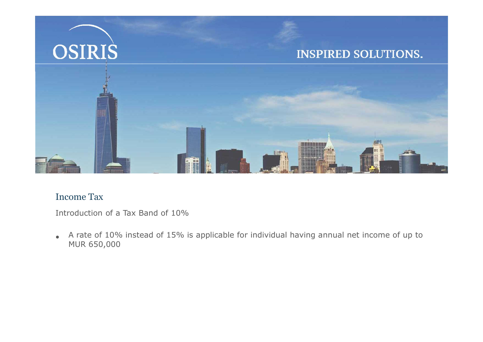

# Income Tax